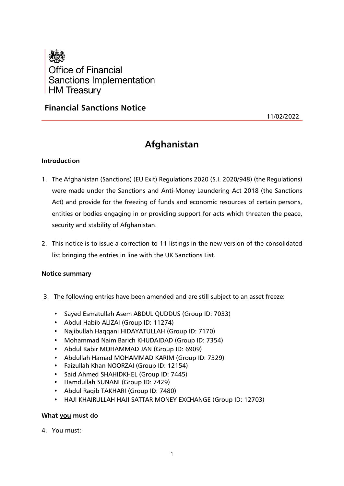

# **Financial Sanctions Notice**

11/02/2022

# **Afghanistan**

# **Introduction**

- 1. The Afghanistan (Sanctions) (EU Exit) Regulations 2020 (S.I. 2020/948) (the Regulations) were made under the Sanctions and Anti-Money Laundering Act 2018 (the Sanctions Act) and provide for the freezing of funds and economic resources of certain persons, entities or bodies engaging in or providing support for acts which threaten the peace, security and stability of Afghanistan.
- 2. This notice is to issue a correction to 11 listings in the new version of the consolidated list bringing the entries in line with the UK Sanctions List.

# **Notice summary**

- 3. The following entries have been amended and are still subject to an asset freeze:
	- Sayed Esmatullah Asem ABDUL QUDDUS (Group ID: 7033)
	- Abdul Habib ALIZAI (Group ID: 11274)
	- Najibullah Haqqani HIDAYATULLAH (Group ID: 7170)
	- Mohammad Naim Barich KHUDAIDAD (Group ID: 7354)
	- Abdul Kabir MOHAMMAD JAN (Group ID: 6909)
	- Abdullah Hamad MOHAMMAD KARIM (Group ID: 7329)
	- Faizullah Khan NOORZAI (Group ID: 12154)
	- Said Ahmed SHAHIDKHEL (Group ID: 7445)
	- Hamdullah SUNANI (Group ID: 7429)
	- Abdul Raqib TAKHARI (Group ID: 7480)
	- HAJI KHAIRULLAH HAJI SATTAR MONEY EXCHANGE (Group ID: 12703)

# **What you must do**

4. You must: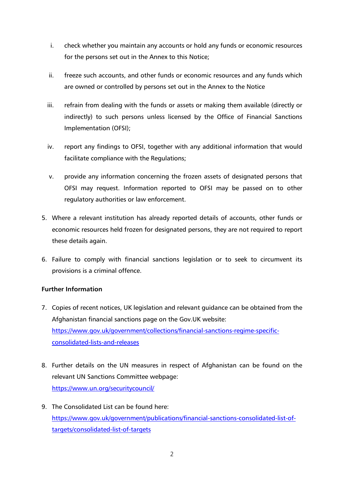- i. check whether you maintain any accounts or hold any funds or economic resources for the persons set out in the Annex to this Notice;
- ii. freeze such accounts, and other funds or economic resources and any funds which are owned or controlled by persons set out in the Annex to the Notice
- iii. refrain from dealing with the funds or assets or making them available (directly or indirectly) to such persons unless licensed by the Office of Financial Sanctions Implementation (OFSI);
- iv. report any findings to OFSI, together with any additional information that would facilitate compliance with the Regulations;
- v. provide any information concerning the frozen assets of designated persons that OFSI may request. Information reported to OFSI may be passed on to other regulatory authorities or law enforcement.
- 5. Where a relevant institution has already reported details of accounts, other funds or economic resources held frozen for designated persons, they are not required to report these details again.
- 6. Failure to comply with financial sanctions legislation or to seek to circumvent its provisions is a criminal offence.

# **Further Information**

- 7. Copies of recent notices, UK legislation and relevant guidance can be obtained from the Afghanistan financial sanctions page on the Gov.UK website: [https://www.gov.uk/government/collections/financial-sanctions-regime-specific](https://www.gov.uk/government/collections/financial-sanctions-regime-specific-consolidated-lists-and-releases)[consolidated-lists-and-releases](https://www.gov.uk/government/collections/financial-sanctions-regime-specific-consolidated-lists-and-releases)
- 8. Further details on the UN measures in respect of Afghanistan can be found on the relevant UN Sanctions Committee webpage: <https://www.un.org/securitycouncil/>
- 9. The Consolidated List can be found here: [https://www.gov.uk/government/publications/financial-sanctions-consolidated-list-of](https://www.gov.uk/government/publications/financial-sanctions-consolidated-list-of-targets/consolidated-list-of-targets)[targets/consolidated-list-of-targets](https://www.gov.uk/government/publications/financial-sanctions-consolidated-list-of-targets/consolidated-list-of-targets)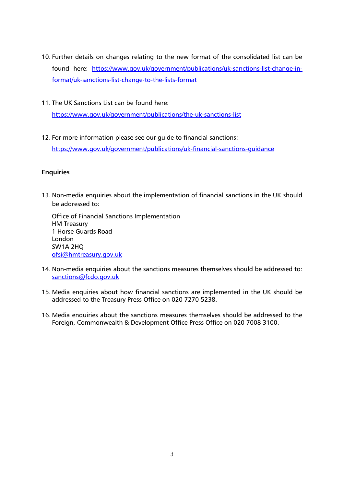- 10. Further details on changes relating to the new format of the consolidated list can be found here: [https://www.gov.uk/government/publications/uk-sanctions-list-change-in](https://www.gov.uk/government/publications/uk-sanctions-list-change-in-format/uk-sanctions-list-change-to-the-lists-format)[format/uk-sanctions-list-change-to-the-lists-format](https://www.gov.uk/government/publications/uk-sanctions-list-change-in-format/uk-sanctions-list-change-to-the-lists-format)
- 11. The UK Sanctions List can be found here:

<https://www.gov.uk/government/publications/the-uk-sanctions-list>

12. For more information please see our guide to financial sanctions:

<https://www.gov.uk/government/publications/uk-financial-sanctions-guidance>

## **Enquiries**

13. Non-media enquiries about the implementation of financial sanctions in the UK should be addressed to:

Office of Financial Sanctions Implementation HM Treasury 1 Horse Guards Road London SW1A 2HQ [ofsi@hmtreasury.gov.uk](mailto:ofsi@hmtreasury.gov.uk)

- 14. Non-media enquiries about the sanctions measures themselves should be addressed to: [sanctions@fcdo.gov.uk](mailto:sanctions@fcdo.gov.uk)
- 15. Media enquiries about how financial sanctions are implemented in the UK should be addressed to the Treasury Press Office on 020 7270 5238.
- 16. Media enquiries about the sanctions measures themselves should be addressed to the Foreign, Commonwealth & Development Office Press Office on 020 7008 3100.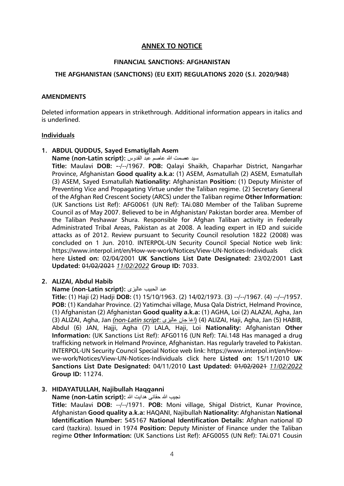## **ANNEX TO NOTICE**

#### **FINANCIAL SANCTIONS: AFGHANISTAN**

#### **THE AFGHANISTAN (SANCTIONS) (EU EXIT) REGULATIONS 2020 (S.I. 2020/948)**

#### **AMENDMENTS**

Deleted information appears in strikethrough. Additional information appears in italics and is underlined.

#### **Individuals**

**1. ABDUL QUDDUS, Sayed Esmati***u***llah Asem**

سید عصمت هللا عاصم عبد القدوس **:(script Latin-non (Name**

**Title:** Maulavi **DOB: -**-/--/1967. **POB:** Qalayi Shaikh, Chaparhar District, Nangarhar Province, Afghanistan **Good quality a.k.a:** (1) ASEM, Asmatullah (2) ASEM, Esmatullah (3) ASEM, Sayed Esmatullah **Nationality:** Afghanistan **Position:** (1) Deputy Minister of Preventing Vice and Propagating Virtue under the Taliban regime. (2) Secretary General of the Afghan Red Crescent Society (ARCS) under the Taliban regime **Other Information:** (UK Sanctions List Ref): AFG0061 (UN Ref): TAi.080 Member of the Taliban Supreme Council as of May 2007. Believed to be in Afghanistan/ Pakistan border area. Member of the Taliban Peshawar Shura. Responsible for Afghan Taliban activity in Federally Administrated Tribal Areas, Pakistan as at 2008. A leading expert in IED and suicide attacks as of 2012. Review pursuant to Security Council resolution 1822 (2008) was concluded on 1 Jun. 2010. INTERPOL-UN Security Council Special Notice web link: https://www.interpol.int/en/How-we-work/Notices/View-UN-Notices-Individuals click here **Listed on:** 02/04/2001 **UK Sanctions List Date Designated:** 23/02/2001 **Last Updated:** 01/02/2021 *11/02/2022* **Group ID:** 7033.

#### **2. ALIZAI, Abdul Habib**

#### **Name (non-Latin script):** عالیزی الحبیب عبد

**Title:** (1) Haji (2) Hadji **DOB:** (1) 15/10/1963. (2) 14/02/1973. (3) --/--/1967. (4) --/--/1957. **POB:** (1) Kandahar Province. (2) Yatimchai village, Musa Qala District, Helmand Province, (1) Afghanistan (2) Afghanistan **Good quality a.k.a:** (1) AGHA, Loi (2) ALAZAI, Agha, Jan (3) ALIZAI, Agha, Jan *(non-Latin script*: عالیزی جان اغا) (4 (ALIZAI, Haji, Agha, Jan (5) HABIB, Abdul (6) JAN, Hajji, Agha (7) LALA, Haji, Loi **Nationality:** Afghanistan **Other Information:** (UK Sanctions List Ref): AFG0116 (UN Ref): TAi.148 Has managed a drug trafficking network in Helmand Province, Afghanistan. Has regularly traveled to Pakistan. INTERPOL-UN Security Council Special Notice web link: https://www.interpol.int/en/Howwe-work/Notices/View-UN-Notices-Individuals click here **Listed on:** 15/11/2010 **UK Sanctions List Date Designated:** 04/11/2010 **Last Updated:** 01/02/2021 *11/02/2022* **Group ID:** 11274.

#### **3. HIDAYATULLAH, Najibullah Haq***q***anni**

نجیب هللا حقانی هدایت هللا **:(script Latin-non (Name**

**Title:** Maulavi **DOB:** --/--/1971. **POB:** Moni village, Shigal District, Kunar Province, Afghanistan **Good quality a.k.a:** HAQANI, Najibullah **Nationality:** Afghanistan **National Identification Number:** 545167 **National Identification Details:** Afghan national ID card (tazkira). Issued in 1974 **Position:** Deputy Minister of Finance under the Taliban regime **Other Information:** (UK Sanctions List Ref): AFG0055 (UN Ref): TAi.071 Cousin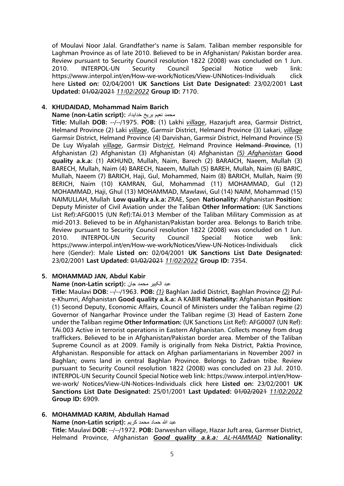of Moulavi Noor Jalal. Grandfather's name is Salam. Taliban member responsible for Laghman Province as of late 2010. Believed to be in Afghanistan/ Pakistan border area. Review pursuant to Security Council resolution 1822 (2008) was concluded on 1 Jun. 2010. INTERPOL-UN Security Council Special Notice web link: https://www.interpol.int/en/How-we-work/Notices/View-UNNotices-Individuals click here **Listed on:** 02/04/2001 **UK Sanctions List Date Designated:** 23/02/2001 **Last Updated:** 01/02/2021 *11/02/2022* **Group ID:** 7170.

#### **4. KHUDAIDAD, Mohammad Naim Barich**

محمد نعیم بریخ خدایداد :**Name (non-Latin script**)

**Title:** Mullah **DOB:** --/--/1975. **POB:** (1) Lakhi *village*, Hazarjuft area, Garmsir District, Helmand Province (2) Laki *village*, Garmsir District, Helmand Province (3) Lakari, *village* Garmsir District, Helmand Province (4) Darvishan, Garmsir District, Helmand Province (5) De Luy Wiyalah *village*, Garmsir Dist*rict*, Helmand Province Helmand Province, (1) Afghanistan (2) Afghanistan (3) Afghanistan (4) Afghanistan *(5) Afghanistan* **Good quality a.k.a:** (1) AKHUND, Mullah, Naim, Barech (2) BARAICH, Naeem, Mullah (3) BARECH, Mullah, Naim (4) BARECH, Naeem, Mullah (5) BAREH, Mullah, Naim (6) BARIC, Mullah, Naeem (7) BARICH, Haji, Gul, Mohammed, Naim (8) BARICH, Mullah, Naim (9) BERICH, Naim (10) KAMRAN, Gul, Mohammad (11) MOHAMMAD, Gul (12) MOHAMMAD, Haji, Ghul (13) MOHAMMAD, Mawlawi, Gul (14) NAIM, Mohammad (15) NAIMULLAH, Mullah **Low quality a.k.a:** ZRAE, Spen **Nationality:** Afghanistan **Position:** Deputy Minister of Civil Aviation under the Taliban **Other Information:** (UK Sanctions List Ref):AFG0015 (UN Ref):TAi.013 Member of the Taliban Military Commission as at mid-2013. Believed to be in Afghanistan/Pakistan border area. Belongs to Barich tribe. Review pursuant to Security Council resolution 1822 (2008) was concluded on 1 Jun. 2010. INTERPOL-UN Security Council Special Notice web link: https://www.interpol.int/en/How-we-work/Notices/View-UN-Notices-Individuals click here (Gender): Male **Listed on:** 02/04/2001 **UK Sanctions List Date Designated:** 23/02/2001 **Last Updated:** 01/02/2021 *11/02/2022* **Group ID:** 7354.

#### **5. MOHAMMAD JAN, Abdul Kabir**

عبد الکبیر محمد جان **:(script Latin-non (Name**

**Title:** Maulavi **DOB:** --/--/1963. **POB:** *(1)* Baghlan Jadid District, Baghlan Province *(2)* Pule-Khumri, Afghanistan **Good quality a.k.a:** A KABIR **Nationality:** Afghanistan **Position:** (1) Second Deputy, Economic Affairs, Council of Ministers under the Taliban regime (2) Governor of Nangarhar Province under the Taliban regime (3) Head of Eastern Zone under the Taliban regime **Other Information:** (UK Sanctions List Ref): AFG0007 (UN Ref): TAi.003 Active in terrorist operations in Eastern Afghanistan. Collects money from drug traffickers. Believed to be in Afghanistan/Pakistan border area. Member of the Taliban Supreme Council as at 2009. Family is originally from Neka District, Paktia Province, Afghanistan. Responsible for attack on Afghan parliamentarians in November 2007 in Baghlan; owns land in central Baghlan Province. Belongs to Zadran tribe. Review pursuant to Security Council resolution 1822 (2008) was concluded on 23 Jul. 2010. INTERPOL-UN Security Council Special Notice web link: https://www.interpol.int/en/Howwe-work/ Notices/View-UN-Notices-Individuals click here **Listed on:** 23/02/2001 **UK Sanctions List Date Designated:** 25/01/2001 **Last Updated:** 01/02/2021 *11/02/2022* **Group ID:** 6909.

#### **6. MOHAMMAD KARIM, Abdullah Hamad**

عبد هللا حماد محمد كريم **:(script Latin-non (Name**

**Title:** Maulavi **DOB:** --/--/1972. **POB:** Darweshan village, Hazar Juft area, Garmser District, Helmand Province, Afghanistan *Good quality a.k.a: AL-HAMMAD* **Nationality:**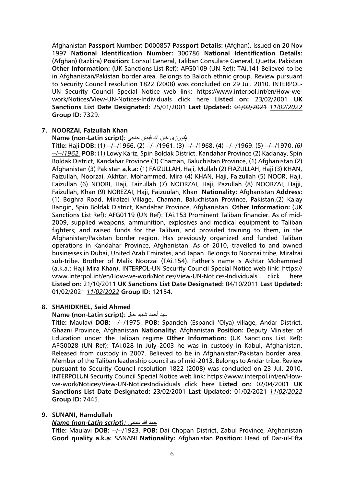Afghanistan **Passport Number:** D000857 **Passport Details:** (Afghan). Issued on 20 Nov 1997 **National Identification Number:** 300786 **National Identification Details:** (Afghan) (tazkira) **Position:** Consul General, Taliban Consulate General, Quetta, Pakistan **Other Information:** (UK Sanctions List Ref): AFG0109 (UN Ref): TAi.141 Believed to be in Afghanistan/Pakistan border area. Belongs to Baloch ethnic group. Review pursuant to Security Council resolution 1822 (2008) was concluded on 29 Jul. 2010. INTERPOL-UN Security Council Special Notice web link: https://www.interpol.int/en/How-wework/Notices/View-UN-Notices-Individuals click here **Listed on:** 23/02/2001 **UK Sanctions List Date Designated:** 25/01/2001 **Last Updated:** 01/02/2021 *11/02/2022* **Group ID:** 7329.

## **7. NOORZAI, Faizullah Khan**

#### (نورزى خان الله فیض حاجى :**Name (non-Latin script**)

**Title:** Haji **DOB:** (1) --/--/1966. (2) --/--/1961. (3) --/--/1968. (4) --/--/1969. (5) --/--/1970. *(6) --/--/1962.* **POB:** (1) Lowy Kariz, Spin Boldak District, Kandahar Province (2) Kadanay, Spin Boldak District, Kandahar Province (3) Chaman, Baluchistan Province, (1) Afghanistan (2) Afghanistan (3) Pakistan **a.k.a:** (1) FAIZULLAH, Haji, Mullah (2) FIAZULLAH, Haji (3) KHAN, Faizullah, Noorzai, Akhtar, Mohammed, Mira (4) KHAN, Haji, Faizullah (5) NOOR, Haji, Faizullah (6) NOORI, Haji, Faizullah (7) NOORZAI, Haji, Pazullah (8) NOORZAI, Hajji, Faizullah, Khan (9) NOREZAI, Haji, Faizuulah, Khan **Nationality:** Afghanistan **Address:** (1) Boghra Road, Miralzei Village, Chaman, Baluchistan Province, Pakistan.(2) Kalay Rangin, Spin Boldak District, Kandahar Province, Afghanistan. **Other Information:** (UK Sanctions List Ref): AFG0119 (UN Ref): TAi.153 Prominent Taliban financier. As of mid-2009, supplied weapons, ammunition, explosives and medical equipment to Taliban fighters; and raised funds for the Taliban, and provided training to them, in the Afghanistan/Pakistan border region. Has previously organized and funded Taliban operations in Kandahar Province, Afghanistan. As of 2010, travelled to and owned businesses in Dubai, United Arab Emirates, and Japan. Belongs to Noorzai tribe, Miralzai sub-tribe. Brother of Malik Noorzai (TAi.154). Father's name is Akhtar Mohammed (a.k.a.: Haji Mira Khan). INTERPOL-UN Security Council Special Notice web link: https:// www.interpol.int/en/How-we-work/Notices/View-UN-Notices-Individuals click here **Listed on:** 21/10/2011 **UK Sanctions List Date Designated:** 04/10/2011 **Last Updated:** 01/02/2021 *11/02/2022* **Group ID:** 12154.

# **8. SHAHIDKHEL, Said Ahmed**

#### سید أحمد شهید خیل **:(script Latin-non (Name**

**Title:** Maulav*i* **DOB:** --/--/1975. **POB:** Spandeh (Espandi 'Olya) village, Andar District, Ghazni Province, Afghanistan **Nationality:** Afghanistan **Position:** Deputy Minister of Education under the Taliban regime **Other Information:** (UK Sanctions List Ref): AFG0028 (UN Ref): TAi.028 In July 2003 he was in custody in Kabul, Afghanistan. Released from custody in 2007. Believed to be in Afghanistan/Pakistan border area. Member of the Taliban leadership council as of mid-2013. Belongs to Andar tribe. Review pursuant to Security Council resolution 1822 (2008) was concluded on 23 Jul. 2010. INTERPOLUN Security Council Special Notice web link: https://www.interpol.int/en/Howwe-work/Notices/View-UN-NoticesIndividuals click here **Listed on:** 02/04/2001 **UK Sanctions List Date Designated:** 23/02/2001 **Last Updated:** 01/02/2021 *11/02/2022* **Group ID:** 7445.

#### **9. SUNANI, Hamdullah**

#### *Name (non-Latin script):* سنانی هللا حمد

**Title:** Maulavi **DOB:** --/--/1923. **POB:** Dai Chopan District, Zabul Province, Afghanistan **Good quality a.k.a:** SANANI **Nationality:** Afghanistan **Position:** Head of Dar-ul-Efta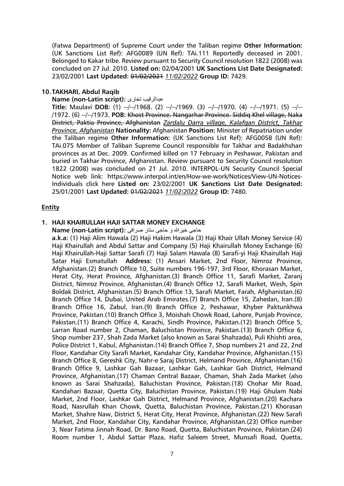(Fatwa Department) of Supreme Court under the Taliban regime **Other Information:** (UK Sanctions List Ref): AFG0089 (UN Ref): TAi.111 Reportedly deceased in 2001. Belonged to Kakar tribe. Review pursuant to Security Council resolution 1822 (2008) was concluded on 27 Jul. 2010. **Listed on:** 02/04/2001 **UK Sanctions List Date Designated:** 23/02/2001 **Last Updated:** 01/02/2021 *11/02/2022* **Group ID:** 7429.

#### **10. TAKHARI, Abdul Raqib**

#### **Name (non-Latin script):** تخاری عبدالرقیب

**Title:** Maulavi **DOB:** (1) --/--/1968. (2) --/--/1969. (3) --/--/1970. (4) --/--/1971. (5) --/-- /1972. (6) --/--/1973. **POB:** Khost Province. Nangarhar Province. Siddiq Khel village, Naka District, Paktia Province, Afghanistan *Zardalu Darra village, Kalafgan District, Takhar Province, Afghanistan* **Nationality:** Afghanistan **Position:** Minister of Repatriation under the Taliban regime **Other Information:** (UK Sanctions List Ref): AFG0058 (UN Ref): TAi.075 Member of Taliban Supreme Council responsible for Takhar and Badakhshan provinces as at Dec. 2009. Confirmed killed on 17 February in Peshawar, Pakistan and buried in Takhar Province, Afghanistan. Review pursuant to Security Council resolution 1822 (2008) was concluded on 21 Jul. 2010. INTERPOL-UN Security Council Special Notice web link: https://www.interpol.int/en/How-we-work/Notices/View-UN-Notices-Individuals click here **Listed on:** 23/02/2001 **UK Sanctions List Date Designated:** 25/01/2001 **Last Updated:** 01/02/2021 *11/02/2022* **Group ID:** 7480.

#### **Entity**

#### **1. HAJI KHAIRULLAH HAJI SATTAR MONEY EXCHANGE**

حاجی خیرهللا و حاجی ستار صرافی **:(script Latin-non (Name**

**a.k.a:** (1) Haji Alim Hawala (2) Haji Hakim Hawala (3) Haji Khair Ullah Money Service (4) Haji Khairullah and Abdul Sattar and Company (5) Haji Khairullah Money Exchange (6) Haji Khairullah-Haji Sattar Sarafi (7) Haji Salam Hawala (8) Sarafi-yi Haji Khairullah Haji Satar Haji Esmatullah **Address:** (1) Ansari Market, 2nd Floor, Nimroz Province, Afghanistan.(2) Branch Office 10, Suite numbers 196-197, 3rd Floor, Khorasan Market, Herat City, Herat Province, Afghanistan.(3) Branch Office 11, Sarafi Market, Zaranj District, Nimroz Province, Afghanistan.(4) Branch Office 12, Sarafi Market, Wesh, Spin Boldak District, Afghanistan.(5) Branch Office 13, Sarafi Market, Farah, Afghanistan.(6) Branch Office 14, Dubai, United Arab Emirates.(7) Branch Office 15, Zahedan, Iran.(8) Branch Office 16, Zabul, Iran.(9) Branch Office 2, Peshawar, Khyber Paktunkhwa Province, Pakistan.(10) Branch Office 3, Moishah Chowk Road, Lahore, Punjab Province, Pakistan.(11) Branch Office 4, Karachi, Sindh Province, Pakistan.(12) Branch Office 5, Larran Road number 2, Chaman, Baluchistan Province, Pakistan.(13) Branch Office 6, Shop number 237, Shah Zada Market (also known as Sarai Shahzada), Puli Khishti area, Police District 1, Kabul, Afghanistan.(14) Branch Office 7, Shop numbers 21 and 22, 2nd Floor, Kandahar City Sarafi Market, Kandahar City, Kandahar Province, Afghanistan.(15) Branch Office 8, Gereshk City, Nahr-e Saraj District, Helmand Province, Afghanistan.(16) Branch Office 9, Lashkar Gah Bazaar, Lashkar Gah, Lashkar Gah District, Helmand Province, Afghanistan.(17) Chaman Central Bazaar, Chaman, Shah Zada Market (also known as Sarai Shahzada), Baluchistan Province, Pakistan.(18) Chohar Mir Road, Kandahari Bazaar, Quetta City, Baluchistan Province, Pakistan.(19) Haji Ghulam Nabi Market, 2nd Floor, Lashkar Gah District, Helmand Province, Afghanistan.(20) Kachara Road, Nasrullah Khan Chowk, Quetta, Baluchistan Province, Pakistan.(21) Khorasan Market, Shahre Naw, District 5, Herat City, Herat Province, Afghanistan.(22) New Sarafi Market, 2nd Floor, Kandahar City, Kandahar Province, Afghanistan.(23) Office number 3, Near Fatima Jinnah Road, Dr. Bano Road, Quetta, Baluchistan Province, Pakistan.(24) Room number 1, Abdul Sattar Plaza, Hafiz Saleem Street, Munsafi Road, Quetta,